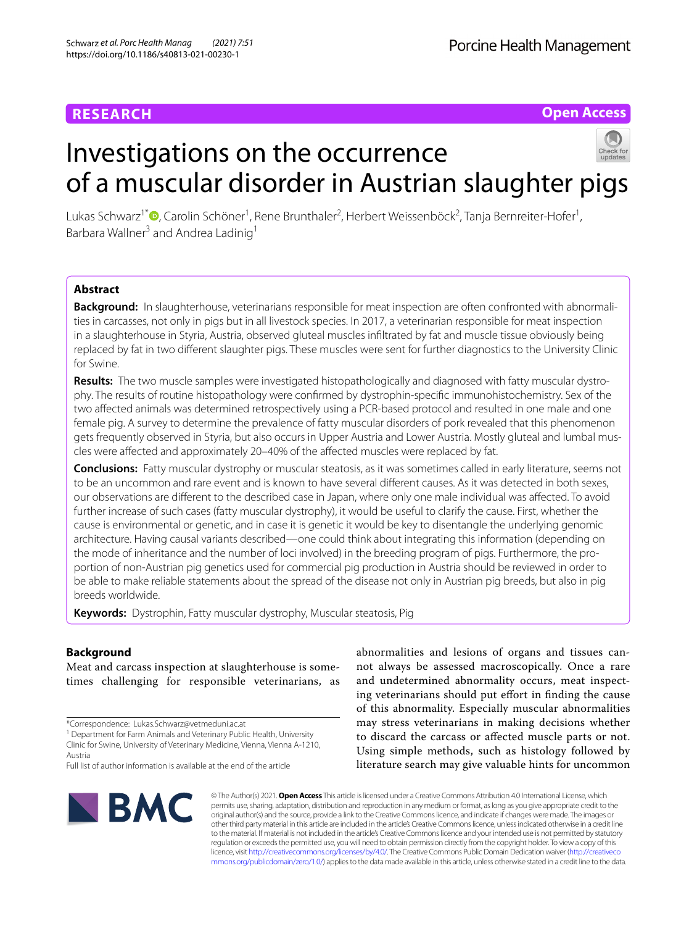# **RESEARCH**

**Open Access**

# Investigations on the occurrence of a muscular disorder in Austrian slaughter pigs

Lukas Schwarz<sup>1[\\*](http://orcid.org/0000-0002-4716-4913)</sup>®, Carolin Schöner<sup>1</sup>, Rene Brunthaler<sup>2</sup>, Herbert Weissenböck<sup>2</sup>, Tanja Bernreiter-Hofer<sup>1</sup>, Barbara Wallner<sup>3</sup> and Andrea Ladinig<sup>1</sup>

# **Abstract**

Background: In slaughterhouse, veterinarians responsible for meat inspection are often confronted with abnormalities in carcasses, not only in pigs but in all livestock species. In 2017, a veterinarian responsible for meat inspection in a slaughterhouse in Styria, Austria, observed gluteal muscles infltrated by fat and muscle tissue obviously being replaced by fat in two diferent slaughter pigs. These muscles were sent for further diagnostics to the University Clinic for Swine.

**Results:** The two muscle samples were investigated histopathologically and diagnosed with fatty muscular dystro‑ phy. The results of routine histopathology were confrmed by dystrophin-specifc immunohistochemistry. Sex of the two afected animals was determined retrospectively using a PCR-based protocol and resulted in one male and one female pig. A survey to determine the prevalence of fatty muscular disorders of pork revealed that this phenomenon gets frequently observed in Styria, but also occurs in Upper Austria and Lower Austria. Mostly gluteal and lumbal muscles were afected and approximately 20–40% of the afected muscles were replaced by fat.

**Conclusions:** Fatty muscular dystrophy or muscular steatosis, as it was sometimes called in early literature, seems not to be an uncommon and rare event and is known to have several diferent causes. As it was detected in both sexes, our observations are diferent to the described case in Japan, where only one male individual was afected. To avoid further increase of such cases (fatty muscular dystrophy), it would be useful to clarify the cause. First, whether the cause is environmental or genetic, and in case it is genetic it would be key to disentangle the underlying genomic architecture. Having causal variants described—one could think about integrating this information (depending on the mode of inheritance and the number of loci involved) in the breeding program of pigs. Furthermore, the proportion of non-Austrian pig genetics used for commercial pig production in Austria should be reviewed in order to be able to make reliable statements about the spread of the disease not only in Austrian pig breeds, but also in pig breeds worldwide.

**Keywords:** Dystrophin, Fatty muscular dystrophy, Muscular steatosis, Pig

# **Background**

Meat and carcass inspection at slaughterhouse is sometimes challenging for responsible veterinarians, as

\*Correspondence: Lukas.Schwarz@vetmeduni.ac.at

<sup>1</sup> Department for Farm Animals and Veterinary Public Health, University Clinic for Swine, University of Veterinary Medicine, Vienna, Vienna A‑1210, Austria

Full list of author information is available at the end of the article



abnormalities and lesions of organs and tissues cannot always be assessed macroscopically. Once a rare and undetermined abnormality occurs, meat inspecting veterinarians should put effort in finding the cause of this abnormality. Especially muscular abnormalities may stress veterinarians in making decisions whether to discard the carcass or afected muscle parts or not. Using simple methods, such as histology followed by literature search may give valuable hints for uncommon

© The Author(s) 2021. **Open Access** This article is licensed under a Creative Commons Attribution 4.0 International License, which permits use, sharing, adaptation, distribution and reproduction in any medium or format, as long as you give appropriate credit to the original author(s) and the source, provide a link to the Creative Commons licence, and indicate if changes were made. The images or other third party material in this article are included in the article's Creative Commons licence, unless indicated otherwise in a credit line to the material. If material is not included in the article's Creative Commons licence and your intended use is not permitted by statutory regulation or exceeds the permitted use, you will need to obtain permission directly from the copyright holder. To view a copy of this licence, visit [http://creativecommons.org/licenses/by/4.0/.](http://creativecommons.org/licenses/by/4.0/) The Creative Commons Public Domain Dedication waiver ([http://creativeco](http://creativecommons.org/publicdomain/zero/1.0/) [mmons.org/publicdomain/zero/1.0/](http://creativecommons.org/publicdomain/zero/1.0/)) applies to the data made available in this article, unless otherwise stated in a credit line to the data.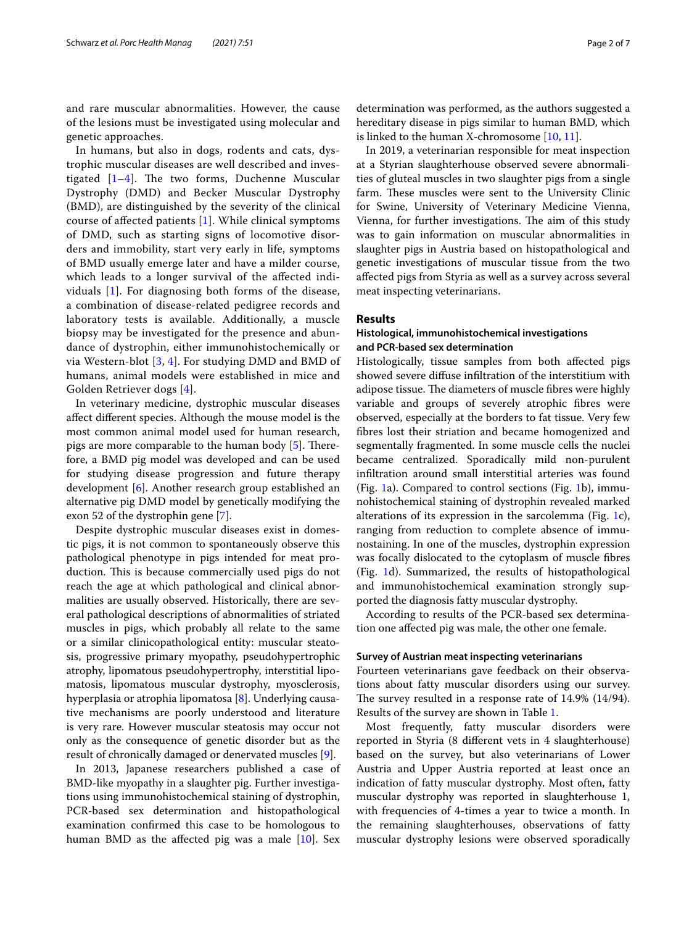and rare muscular abnormalities. However, the cause of the lesions must be investigated using molecular and genetic approaches.

In humans, but also in dogs, rodents and cats, dystrophic muscular diseases are well described and investigated  $[1-4]$  $[1-4]$ . The two forms, Duchenne Muscular Dystrophy (DMD) and Becker Muscular Dystrophy (BMD), are distinguished by the severity of the clinical course of afected patients [[1](#page-5-0)]. While clinical symptoms of DMD, such as starting signs of locomotive disorders and immobility, start very early in life, symptoms of BMD usually emerge later and have a milder course, which leads to a longer survival of the afected individuals [[1\]](#page-5-0). For diagnosing both forms of the disease, a combination of disease-related pedigree records and laboratory tests is available. Additionally, a muscle biopsy may be investigated for the presence and abundance of dystrophin, either immunohistochemically or via Western-blot [\[3](#page-5-2), [4](#page-5-1)]. For studying DMD and BMD of humans, animal models were established in mice and Golden Retriever dogs [[4](#page-5-1)].

In veterinary medicine, dystrophic muscular diseases afect diferent species. Although the mouse model is the most common animal model used for human research, pigs are more comparable to the human body [\[5](#page-5-3)]. Therefore, a BMD pig model was developed and can be used for studying disease progression and future therapy development [\[6](#page-5-4)]. Another research group established an alternative pig DMD model by genetically modifying the exon 52 of the dystrophin gene [[7\]](#page-5-5).

Despite dystrophic muscular diseases exist in domestic pigs, it is not common to spontaneously observe this pathological phenotype in pigs intended for meat production. This is because commercially used pigs do not reach the age at which pathological and clinical abnormalities are usually observed. Historically, there are several pathological descriptions of abnormalities of striated muscles in pigs, which probably all relate to the same or a similar clinicopathological entity: muscular steatosis, progressive primary myopathy, pseudohypertrophic atrophy, lipomatous pseudohypertrophy, interstitial lipomatosis, lipomatous muscular dystrophy, myosclerosis, hyperplasia or atrophia lipomatosa [[8\]](#page-5-6). Underlying causative mechanisms are poorly understood and literature is very rare. However muscular steatosis may occur not only as the consequence of genetic disorder but as the result of chronically damaged or denervated muscles [[9\]](#page-6-0).

In 2013, Japanese researchers published a case of BMD-like myopathy in a slaughter pig. Further investigations using immunohistochemical staining of dystrophin, PCR-based sex determination and histopathological examination confrmed this case to be homologous to human BMD as the affected pig was a male [[10](#page-6-1)]. Sex determination was performed, as the authors suggested a hereditary disease in pigs similar to human BMD, which is linked to the human X-chromosome [[10](#page-6-1), [11\]](#page-6-2).

In 2019, a veterinarian responsible for meat inspection at a Styrian slaughterhouse observed severe abnormalities of gluteal muscles in two slaughter pigs from a single farm. These muscles were sent to the University Clinic for Swine, University of Veterinary Medicine Vienna, Vienna, for further investigations. The aim of this study was to gain information on muscular abnormalities in slaughter pigs in Austria based on histopathological and genetic investigations of muscular tissue from the two afected pigs from Styria as well as a survey across several meat inspecting veterinarians.

## **Results**

# **Histological, immunohistochemical investigations and PCR‑based sex determination**

Histologically, tissue samples from both afected pigs showed severe difuse infltration of the interstitium with adipose tissue. The diameters of muscle fibres were highly variable and groups of severely atrophic fbres were observed, especially at the borders to fat tissue. Very few fbres lost their striation and became homogenized and segmentally fragmented. In some muscle cells the nuclei became centralized. Sporadically mild non-purulent infltration around small interstitial arteries was found (Fig. [1a](#page-2-0)). Compared to control sections (Fig. [1b](#page-2-0)), immunohistochemical staining of dystrophin revealed marked alterations of its expression in the sarcolemma (Fig. [1c](#page-2-0)), ranging from reduction to complete absence of immunostaining. In one of the muscles, dystrophin expression was focally dislocated to the cytoplasm of muscle fbres (Fig. [1](#page-2-0)d). Summarized, the results of histopathological and immunohistochemical examination strongly supported the diagnosis fatty muscular dystrophy.

According to results of the PCR-based sex determination one afected pig was male, the other one female.

## **Survey of Austrian meat inspecting veterinarians**

Fourteen veterinarians gave feedback on their observations about fatty muscular disorders using our survey. The survey resulted in a response rate of  $14.9\%$   $(14/94)$ . Results of the survey are shown in Table [1](#page-3-0).

Most frequently, fatty muscular disorders were reported in Styria (8 diferent vets in 4 slaughterhouse) based on the survey, but also veterinarians of Lower Austria and Upper Austria reported at least once an indication of fatty muscular dystrophy. Most often, fatty muscular dystrophy was reported in slaughterhouse 1, with frequencies of 4-times a year to twice a month. In the remaining slaughterhouses, observations of fatty muscular dystrophy lesions were observed sporadically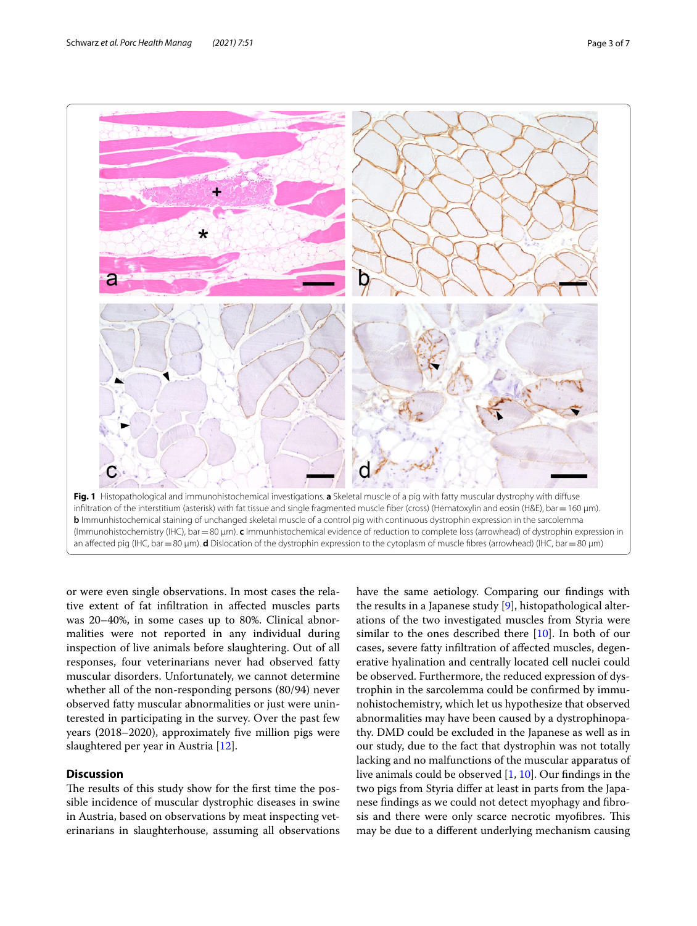

<span id="page-2-0"></span>or were even single observations. In most cases the relative extent of fat infltration in afected muscles parts was 20–40%, in some cases up to 80%. Clinical abnormalities were not reported in any individual during inspection of live animals before slaughtering. Out of all responses, four veterinarians never had observed fatty muscular disorders. Unfortunately, we cannot determine whether all of the non-responding persons (80/94) never observed fatty muscular abnormalities or just were uninterested in participating in the survey. Over the past few years (2018–2020), approximately fve million pigs were slaughtered per year in Austria [[12\]](#page-6-3).

# **Discussion**

The results of this study show for the first time the possible incidence of muscular dystrophic diseases in swine in Austria, based on observations by meat inspecting veterinarians in slaughterhouse, assuming all observations have the same aetiology. Comparing our fndings with the results in a Japanese study [[9\]](#page-6-0), histopathological alterations of the two investigated muscles from Styria were similar to the ones described there [[10\]](#page-6-1). In both of our cases, severe fatty infltration of afected muscles, degenerative hyalination and centrally located cell nuclei could be observed. Furthermore, the reduced expression of dystrophin in the sarcolemma could be confrmed by immunohistochemistry, which let us hypothesize that observed abnormalities may have been caused by a dystrophinopathy. DMD could be excluded in the Japanese as well as in our study, due to the fact that dystrophin was not totally lacking and no malfunctions of the muscular apparatus of live animals could be observed [\[1](#page-5-0), [10\]](#page-6-1). Our fndings in the two pigs from Styria difer at least in parts from the Japanese fndings as we could not detect myophagy and fbrosis and there were only scarce necrotic myofibres. This may be due to a diferent underlying mechanism causing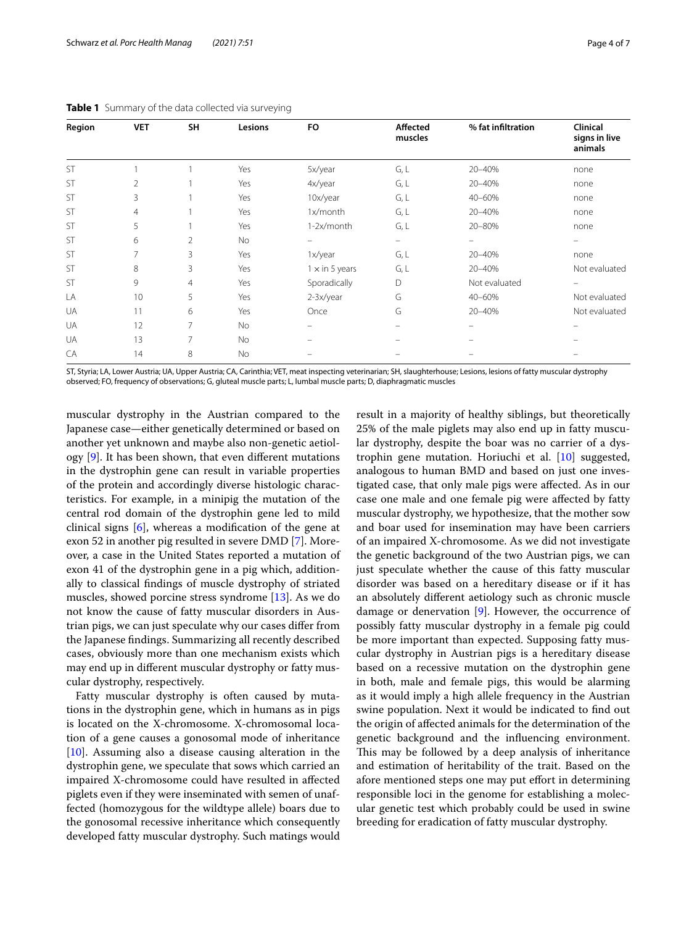| Region    | <b>VET</b>     | SH             | Lesions   | FO                    | <b>Affected</b><br>muscles | % fat infiltration | Clinical<br>signs in live<br>animals |
|-----------|----------------|----------------|-----------|-----------------------|----------------------------|--------------------|--------------------------------------|
| <b>ST</b> |                |                | Yes       | 5x/year               | G, L                       | 20-40%             | none                                 |
| <b>ST</b> | $\overline{2}$ |                | Yes       | 4x/year               | G, L                       | 20-40%             | none                                 |
| <b>ST</b> | 3              |                | Yes       | 10x/year              | G, L                       | 40-60%             | none                                 |
| ST        | $\overline{4}$ |                | Yes       | 1x/month              | G, L                       | 20-40%             | none                                 |
| ST        | 5              |                | Yes       | 1-2x/month            | G, L                       | 20-80%             | none                                 |
| ST        | 6              | $\overline{2}$ | <b>No</b> |                       | -                          |                    |                                      |
| ST        | 7              | 3              | Yes       | 1x/year               | G, L                       | 20-40%             | none                                 |
| ST        | 8              | 3              | Yes       | $1 \times$ in 5 years | G, L                       | 20-40%             | Not evaluated                        |
| ST        | 9              | $\overline{4}$ | Yes       | Sporadically          | D                          | Not evaluated      |                                      |
| LA        | 10             | 5              | Yes       | 2-3x/year             | G                          | 40-60%             | Not evaluated                        |
| UA        | 11             | 6              | Yes       | Once                  | G                          | 20-40%             | Not evaluated                        |
| UA        | 12             | 7              | No        |                       |                            |                    |                                      |
| UA        | 13             | 7              | <b>No</b> | -                     |                            |                    |                                      |
| CA        | 14             | 8              | No        |                       |                            |                    |                                      |
|           |                |                |           |                       |                            |                    |                                      |

<span id="page-3-0"></span>**Table 1** Summary of the data collected via surveying

ST, Styria; LA, Lower Austria; UA, Upper Austria; CA, Carinthia; VET, meat inspecting veterinarian; SH, slaughterhouse; Lesions, lesions of fatty muscular dystrophy observed; FO, frequency of observations; G, gluteal muscle parts; L, lumbal muscle parts; D, diaphragmatic muscles

muscular dystrophy in the Austrian compared to the Japanese case—either genetically determined or based on another yet unknown and maybe also non-genetic aetiology [\[9](#page-6-0)]. It has been shown, that even diferent mutations in the dystrophin gene can result in variable properties of the protein and accordingly diverse histologic characteristics. For example, in a minipig the mutation of the central rod domain of the dystrophin gene led to mild clinical signs [[6\]](#page-5-4), whereas a modifcation of the gene at exon 52 in another pig resulted in severe DMD [\[7\]](#page-5-5). Moreover, a case in the United States reported a mutation of exon 41 of the dystrophin gene in a pig which, additionally to classical fndings of muscle dystrophy of striated muscles, showed porcine stress syndrome [\[13](#page-6-4)]. As we do not know the cause of fatty muscular disorders in Austrian pigs, we can just speculate why our cases difer from the Japanese fndings. Summarizing all recently described cases, obviously more than one mechanism exists which may end up in diferent muscular dystrophy or fatty muscular dystrophy, respectively.

Fatty muscular dystrophy is often caused by mutations in the dystrophin gene, which in humans as in pigs is located on the X-chromosome. X-chromosomal location of a gene causes a gonosomal mode of inheritance [[10\]](#page-6-1). Assuming also a disease causing alteration in the dystrophin gene, we speculate that sows which carried an impaired X-chromosome could have resulted in afected piglets even if they were inseminated with semen of unaffected (homozygous for the wildtype allele) boars due to the gonosomal recessive inheritance which consequently developed fatty muscular dystrophy. Such matings would result in a majority of healthy siblings, but theoretically 25% of the male piglets may also end up in fatty muscular dystrophy, despite the boar was no carrier of a dystrophin gene mutation. Horiuchi et al. [[10\]](#page-6-1) suggested, analogous to human BMD and based on just one investigated case, that only male pigs were afected. As in our case one male and one female pig were afected by fatty muscular dystrophy, we hypothesize, that the mother sow and boar used for insemination may have been carriers of an impaired X-chromosome. As we did not investigate the genetic background of the two Austrian pigs, we can just speculate whether the cause of this fatty muscular disorder was based on a hereditary disease or if it has an absolutely diferent aetiology such as chronic muscle damage or denervation [\[9](#page-6-0)]. However, the occurrence of possibly fatty muscular dystrophy in a female pig could be more important than expected. Supposing fatty muscular dystrophy in Austrian pigs is a hereditary disease based on a recessive mutation on the dystrophin gene in both, male and female pigs, this would be alarming as it would imply a high allele frequency in the Austrian swine population. Next it would be indicated to fnd out the origin of afected animals for the determination of the genetic background and the infuencing environment. This may be followed by a deep analysis of inheritance and estimation of heritability of the trait. Based on the afore mentioned steps one may put effort in determining responsible loci in the genome for establishing a molecular genetic test which probably could be used in swine breeding for eradication of fatty muscular dystrophy.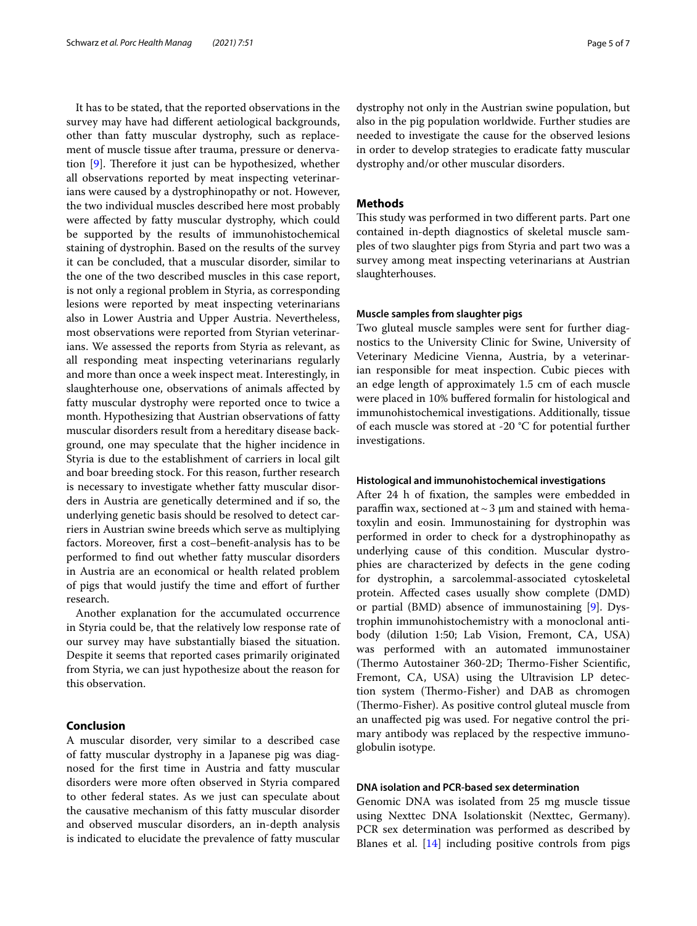It has to be stated, that the reported observations in the survey may have had diferent aetiological backgrounds, other than fatty muscular dystrophy, such as replacement of muscle tissue after trauma, pressure or denerva-tion [[9\]](#page-6-0). Therefore it just can be hypothesized, whether all observations reported by meat inspecting veterinarians were caused by a dystrophinopathy or not. However, the two individual muscles described here most probably were afected by fatty muscular dystrophy, which could be supported by the results of immunohistochemical staining of dystrophin. Based on the results of the survey it can be concluded, that a muscular disorder, similar to the one of the two described muscles in this case report, is not only a regional problem in Styria, as corresponding lesions were reported by meat inspecting veterinarians also in Lower Austria and Upper Austria. Nevertheless, most observations were reported from Styrian veterinarians. We assessed the reports from Styria as relevant, as all responding meat inspecting veterinarians regularly and more than once a week inspect meat. Interestingly, in slaughterhouse one, observations of animals afected by fatty muscular dystrophy were reported once to twice a month. Hypothesizing that Austrian observations of fatty muscular disorders result from a hereditary disease background, one may speculate that the higher incidence in Styria is due to the establishment of carriers in local gilt and boar breeding stock. For this reason, further research is necessary to investigate whether fatty muscular disorders in Austria are genetically determined and if so, the underlying genetic basis should be resolved to detect carriers in Austrian swine breeds which serve as multiplying factors. Moreover, frst a cost–beneft-analysis has to be performed to fnd out whether fatty muscular disorders in Austria are an economical or health related problem of pigs that would justify the time and efort of further research.

Another explanation for the accumulated occurrence in Styria could be, that the relatively low response rate of our survey may have substantially biased the situation. Despite it seems that reported cases primarily originated from Styria, we can just hypothesize about the reason for this observation.

# **Conclusion**

A muscular disorder, very similar to a described case of fatty muscular dystrophy in a Japanese pig was diagnosed for the frst time in Austria and fatty muscular disorders were more often observed in Styria compared to other federal states. As we just can speculate about the causative mechanism of this fatty muscular disorder and observed muscular disorders, an in-depth analysis is indicated to elucidate the prevalence of fatty muscular dystrophy not only in the Austrian swine population, but also in the pig population worldwide. Further studies are needed to investigate the cause for the observed lesions in order to develop strategies to eradicate fatty muscular dystrophy and/or other muscular disorders.

## **Methods**

This study was performed in two different parts. Part one contained in-depth diagnostics of skeletal muscle samples of two slaughter pigs from Styria and part two was a survey among meat inspecting veterinarians at Austrian slaughterhouses.

## **Muscle samples from slaughter pigs**

Two gluteal muscle samples were sent for further diagnostics to the University Clinic for Swine, University of Veterinary Medicine Vienna, Austria, by a veterinarian responsible for meat inspection. Cubic pieces with an edge length of approximately 1.5 cm of each muscle were placed in 10% bufered formalin for histological and immunohistochemical investigations. Additionally, tissue of each muscle was stored at -20 °C for potential further investigations.

#### **Histological and immunohistochemical investigations**

After 24 h of fxation, the samples were embedded in paraffin wax, sectioned at  $\sim$  3  $\mu$ m and stained with hematoxylin and eosin. Immunostaining for dystrophin was performed in order to check for a dystrophinopathy as underlying cause of this condition. Muscular dystrophies are characterized by defects in the gene coding for dystrophin, a sarcolemmal-associated cytoskeletal protein. Afected cases usually show complete (DMD) or partial (BMD) absence of immunostaining [[9\]](#page-6-0). Dystrophin immunohistochemistry with a monoclonal antibody (dilution 1:50; Lab Vision, Fremont, CA, USA) was performed with an automated immunostainer (Thermo Autostainer 360-2D; Thermo-Fisher Scientific, Fremont, CA, USA) using the Ultravision LP detection system (Thermo-Fisher) and DAB as chromogen (Thermo-Fisher). As positive control gluteal muscle from an unafected pig was used. For negative control the primary antibody was replaced by the respective immunoglobulin isotype.

# **DNA isolation and PCR‑based sex determination**

Genomic DNA was isolated from 25 mg muscle tissue using Nexttec DNA Isolationskit (Nexttec, Germany). PCR sex determination was performed as described by Blanes et al. [\[14](#page-6-5)] including positive controls from pigs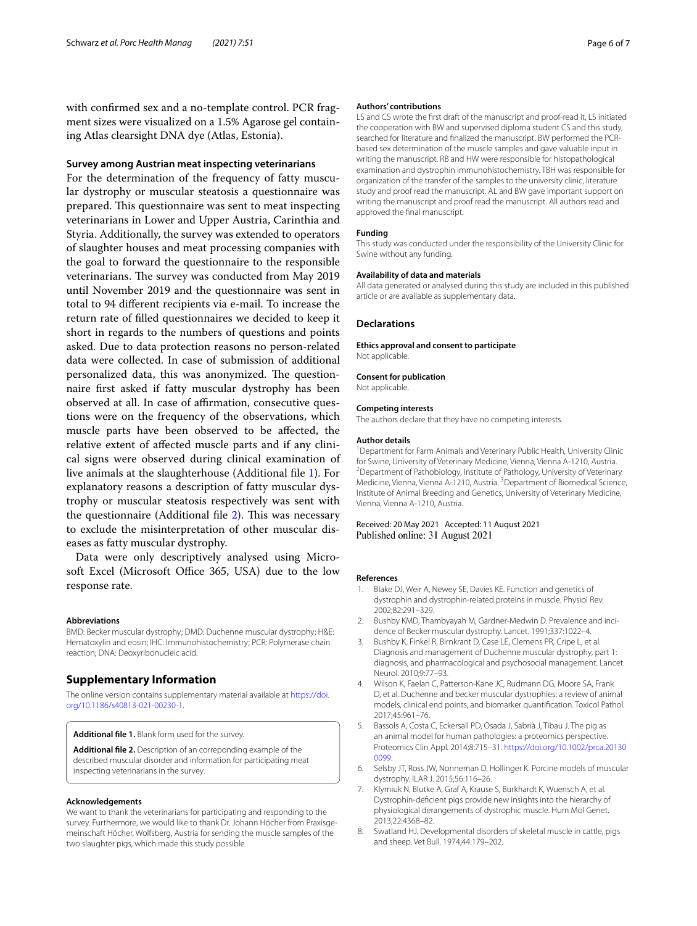with confrmed sex and a no-template control. PCR fragment sizes were visualized on a 1.5% Agarose gel containing Atlas clearsight DNA dye (Atlas, Estonia).

# **Survey among Austrian meat inspecting veterinarians**

For the determination of the frequency of fatty muscular dystrophy or muscular steatosis a questionnaire was prepared. This questionnaire was sent to meat inspecting veterinarians in Lower and Upper Austria, Carinthia and Styria. Additionally, the survey was extended to operators of slaughter houses and meat processing companies with the goal to forward the questionnaire to the responsible veterinarians. The survey was conducted from May 2019 until November 2019 and the questionnaire was sent in total to 94 diferent recipients via e-mail. To increase the return rate of flled questionnaires we decided to keep it short in regards to the numbers of questions and points asked. Due to data protection reasons no person-related data were collected. In case of submission of additional personalized data, this was anonymized. The questionnaire frst asked if fatty muscular dystrophy has been observed at all. In case of afrmation, consecutive questions were on the frequency of the observations, which muscle parts have been observed to be afected, the relative extent of afected muscle parts and if any clinical signs were observed during clinical examination of live animals at the slaughterhouse (Additional fle [1\)](#page-5-7). For explanatory reasons a description of fatty muscular dystrophy or muscular steatosis respectively was sent with the questionnaire (Additional file  $2$ ). This was necessary to exclude the misinterpretation of other muscular diseases as fatty muscular dystrophy.

Data were only descriptively analysed using Microsoft Excel (Microsoft Office 365, USA) due to the low response rate.

#### **Abbreviations**

BMD: Becker muscular dystrophy; DMD: Duchenne muscular dystrophy; H&E: Hematoxylin and eosin; IHC: Immunohistochemistry; PCR: Polymerase chain reaction; DNA: Deoxyribonucleic acid.

#### **Supplementary Information**

The online version contains supplementary material available at [https://doi.](https://doi.org/10.1186/s40813-021-00230-1) [org/10.1186/s40813-021-00230-1](https://doi.org/10.1186/s40813-021-00230-1).

<span id="page-5-8"></span><span id="page-5-7"></span>**Additional fle 1.** Blank form used for the survey.

**Additional fle 2.** Description of an correponding example of the described muscular disorder and information for participating meat inspecting veterinarians in the survey.

#### **Acknowledgements**

We want to thank the veterinarians for participating and responding to the survey. Furthermore, we would like to thank Dr. Johann Höcher from Praxisgemeinschaft Höcher, Wolfsberg, Austria for sending the muscle samples of the two slaughter pigs, which made this study possible.

#### **Authors' contributions**

LS and CS wrote the frst draft of the manuscript and proof-read it, LS initiated the cooperation with BW and supervised diploma student CS and this study, searched for literature and fnalized the manuscript. BW performed the PCRbased sex determination of the muscle samples and gave valuable input in writing the manuscript. RB and HW were responsible for histopathological examination and dystrophin immunohistochemistry. TBH was responsible for organization of the transfer of the samples to the university clinic, literature study and proof read the manuscript. AL and BW gave important support on writing the manuscript and proof read the manuscript. All authors read and approved the fnal manuscript.

#### **Funding**

This study was conducted under the responsibility of the University Clinic for Swine without any funding.

#### **Availability of data and materials**

All data generated or analysed during this study are included in this published article or are available as supplementary data.

#### **Declarations**

**Ethics approval and consent to participate** Not applicable.

#### **Consent for publication**

Not applicable.

#### **Competing interests**

The authors declare that they have no competing interests.

#### **Author details**

<sup>1</sup> Department for Farm Animals and Veterinary Public Health, University Clinic for Swine, University of Veterinary Medicine, Vienna, Vienna A‑1210, Austria. 2 <sup>2</sup> Department of Pathobiology, Institute of Pathology, University of Veterinary Medicine, Vienna, Vienna A-1210, Austria. <sup>3</sup> Department of Biomedical Science, Institute of Animal Breeding and Genetics, University of Veterinary Medicine, Vienna, Vienna A‑1210, Austria.

Received: 20 May 2021 Accepted: 11 August 2021 Published online: 31 August 2021

#### **References**

- <span id="page-5-0"></span>Blake DJ, Weir A, Newey SE, Davies KE. Function and genetics of dystrophin and dystrophin-related proteins in muscle. Physiol Rev. 2002;82:291–329.
- 2. Bushby KMD, Thambyayah M, Gardner-Medwin D. Prevalence and incidence of Becker muscular dystrophy. Lancet. 1991;337:1022–4.
- <span id="page-5-2"></span>3. Bushby K, Finkel R, Birnkrant D, Case LE, Clemens PR, Cripe L, et al. Diagnosis and management of Duchenne muscular dystrophy, part 1: diagnosis, and pharmacological and psychosocial management. Lancet Neurol. 2010;9:77–93.
- <span id="page-5-1"></span>4. Wilson K, Faelan C, Patterson-Kane JC, Rudmann DG, Moore SA, Frank D, et al. Duchenne and becker muscular dystrophies: a review of animal models, clinical end points, and biomarker quantifcation. Toxicol Pathol. 2017;45:961–76.
- <span id="page-5-3"></span>5. Bassols A, Costa C, Eckersall PD, Osada J, Sabrià J, Tibau J. The pig as an animal model for human pathologies: a proteomics perspective. Proteomics Clin Appl. 2014;8:715–31. [https://doi.org/10.1002/prca.20130](https://doi.org/10.1002/prca.201300099) [0099](https://doi.org/10.1002/prca.201300099).
- <span id="page-5-4"></span>6. Selsby JT, Ross JW, Nonneman D, Hollinger K. Porcine models of muscular dystrophy. ILAR J. 2015;56:116–26.
- <span id="page-5-5"></span>7. Klymiuk N, Blutke A, Graf A, Krause S, Burkhardt K, Wuensch A, et al. Dystrophin-defcient pigs provide new insights into the hierarchy of physiological derangements of dystrophic muscle. Hum Mol Genet. 2013;22:4368–82.
- <span id="page-5-6"></span>8. Swatland HJ. Developmental disorders of skeletal muscle in cattle, pigs and sheep. Vet Bull. 1974;44:179–202.